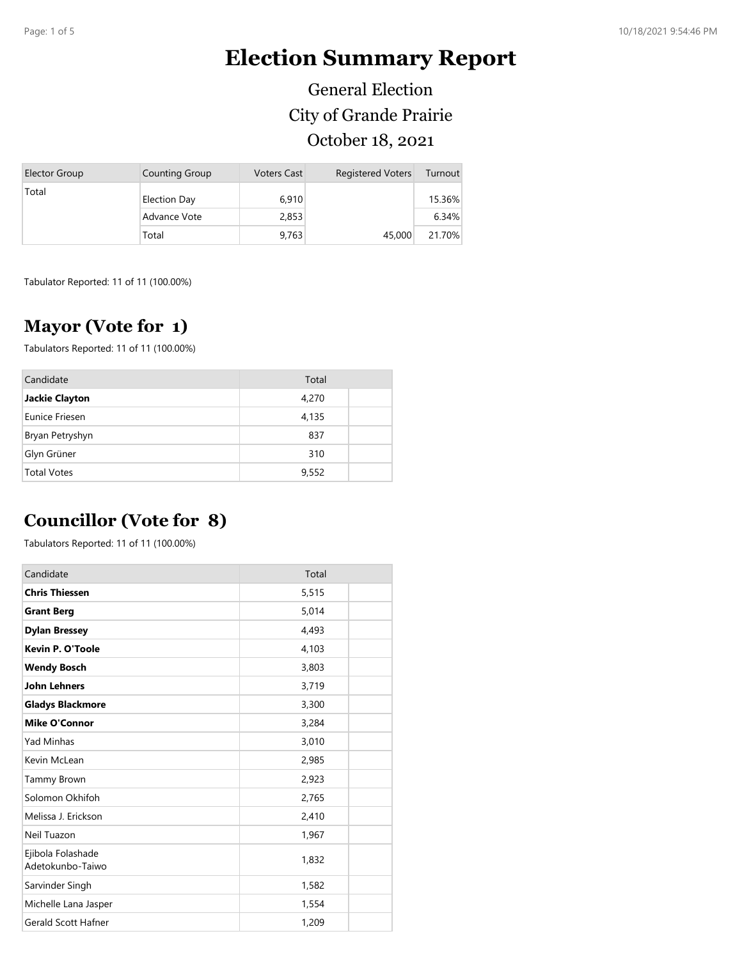# **Election Summary Report**

General Election City of Grande Prairie October 18, 2021

| <b>Elector Group</b> | <b>Counting Group</b> | <b>Voters Cast</b> | <b>Registered Voters</b> | Turnout |
|----------------------|-----------------------|--------------------|--------------------------|---------|
| Total                | <b>Election Day</b>   | 6.910              |                          | 15.36%  |
|                      | Advance Vote          | 2,853              |                          | 6.34%   |
|                      | Total                 | 9,763              | 45,000                   | 21.70%  |

Tabulator Reported: 11 of 11 (100.00%)

#### **Mayor (Vote for 1)**

Tabulators Reported: 11 of 11 (100.00%)

| Candidate          | Total |  |
|--------------------|-------|--|
| Jackie Clayton     | 4,270 |  |
| Eunice Friesen     | 4,135 |  |
| Bryan Petryshyn    | 837   |  |
| Glyn Grüner        | 310   |  |
| <b>Total Votes</b> | 9,552 |  |

### **Councillor (Vote for 8)**

Tabulators Reported: 11 of 11 (100.00%)

| Candidate                             | Total |
|---------------------------------------|-------|
| <b>Chris Thiessen</b>                 | 5,515 |
| <b>Grant Berg</b>                     | 5,014 |
| <b>Dylan Bressey</b>                  | 4,493 |
| <b>Kevin P. O'Toole</b>               | 4,103 |
| <b>Wendy Bosch</b>                    | 3,803 |
| <b>John Lehners</b>                   | 3,719 |
| <b>Gladys Blackmore</b>               | 3,300 |
| <b>Mike O'Connor</b>                  | 3,284 |
| <b>Yad Minhas</b>                     | 3,010 |
| Kevin McLean                          | 2,985 |
| Tammy Brown                           | 2,923 |
| Solomon Okhifoh                       | 2,765 |
| Melissa J. Erickson                   | 2,410 |
| Neil Tuazon                           | 1,967 |
| Ejibola Folashade<br>Adetokunbo-Taiwo | 1,832 |
| Sarvinder Singh                       | 1,582 |
| Michelle Lana Jasper                  | 1,554 |
| <b>Gerald Scott Hafner</b>            | 1,209 |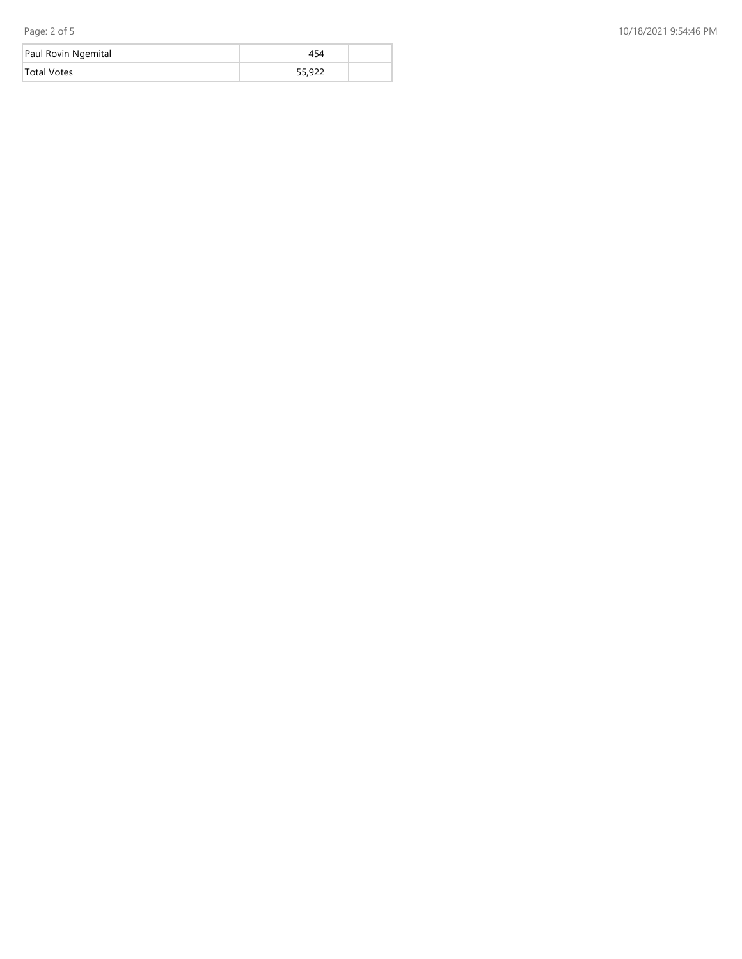| Paul Rovin Ngemital |        |  |
|---------------------|--------|--|
| <b>Total Votes</b>  | 55,922 |  |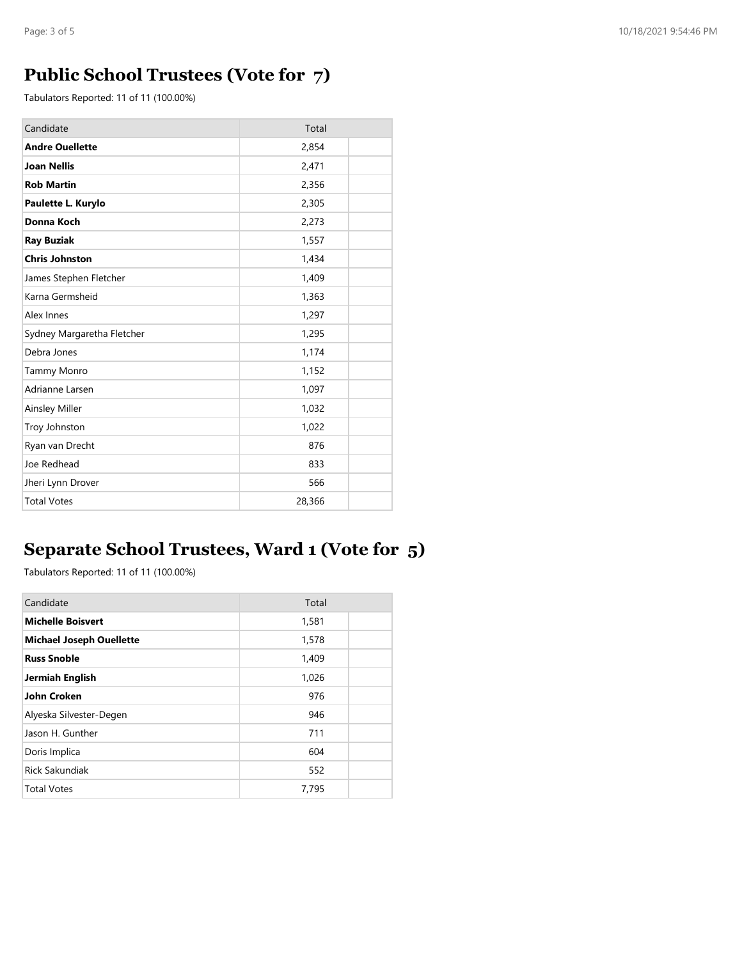## **Public School Trustees (Vote for 7)**

Tabulators Reported: 11 of 11 (100.00%)

| Candidate                  | Total  |
|----------------------------|--------|
| <b>Andre Ouellette</b>     | 2,854  |
| <b>Joan Nellis</b>         | 2,471  |
| <b>Rob Martin</b>          | 2,356  |
| Paulette L. Kurylo         | 2,305  |
| Donna Koch                 | 2,273  |
| <b>Ray Buziak</b>          | 1,557  |
| <b>Chris Johnston</b>      | 1,434  |
| James Stephen Fletcher     | 1,409  |
| Karna Germsheid            | 1,363  |
| Alex Innes                 | 1,297  |
| Sydney Margaretha Fletcher | 1,295  |
| Debra Jones                | 1,174  |
| <b>Tammy Monro</b>         | 1,152  |
| Adrianne Larsen            | 1,097  |
| Ainsley Miller             | 1,032  |
| Troy Johnston              | 1,022  |
| Ryan van Drecht            | 876    |
| Joe Redhead                | 833    |
| Jheri Lynn Drover          | 566    |
| <b>Total Votes</b>         | 28,366 |

# **Separate School Trustees, Ward 1 (Vote for 5)**

Tabulators Reported: 11 of 11 (100.00%)

| Candidate                       | Total |  |
|---------------------------------|-------|--|
| <b>Michelle Boisvert</b>        | 1,581 |  |
| <b>Michael Joseph Ouellette</b> | 1,578 |  |
| <b>Russ Snoble</b>              | 1,409 |  |
| Jermiah English                 | 1,026 |  |
| John Croken                     | 976   |  |
| Alyeska Silvester-Degen         | 946   |  |
| Jason H. Gunther                | 711   |  |
| Doris Implica                   | 604   |  |
| <b>Rick Sakundiak</b>           | 552   |  |
| <b>Total Votes</b>              | 7,795 |  |